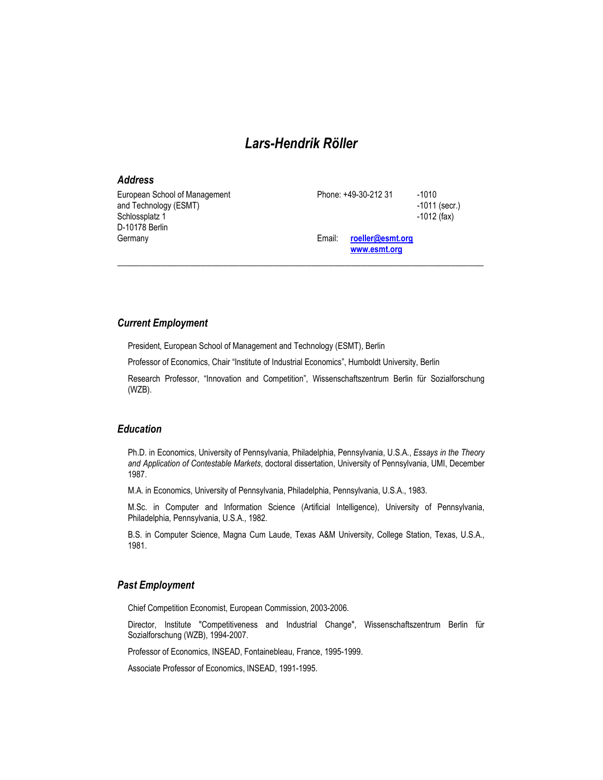# Lars-Hendrik Röller

| <b>Address</b>                                                                             |        |                                  |                                             |
|--------------------------------------------------------------------------------------------|--------|----------------------------------|---------------------------------------------|
| European School of Management<br>and Technology (ESMT)<br>Schlossplatz 1<br>D-10178 Berlin |        | Phone: +49-30-212 31             | $-1010$<br>$-1011$ (secr.)<br>$-1012$ (fax) |
| Germany                                                                                    | Email: | roeller@esmt.org<br>www.esmt.org |                                             |

*\_\_\_\_\_\_\_\_\_\_\_\_\_\_\_\_\_\_\_\_\_\_\_\_\_\_\_\_\_\_\_\_\_\_\_\_\_\_\_\_\_\_\_\_\_\_\_\_\_\_\_\_\_\_\_\_\_\_\_\_\_\_\_\_\_\_* 

### Current Employment

President, European School of Management and Technology (ESMT), Berlin

Professor of Economics, Chair "Institute of Industrial Economics", Humboldt University, Berlin

Research Professor, "Innovation and Competition", Wissenschaftszentrum Berlin für Sozialforschung (WZB).

# Education

Ph.D. in Economics, University of Pennsylvania, Philadelphia, Pennsylvania, U.S.A., Essays in the Theory and Application of Contestable Markets, doctoral dissertation, University of Pennsylvania, UMI, December 1987.

M.A. in Economics, University of Pennsylvania, Philadelphia, Pennsylvania, U.S.A., 1983.

M.Sc. in Computer and Information Science (Artificial Intelligence), University of Pennsylvania, Philadelphia, Pennsylvania, U.S.A., 1982.

B.S. in Computer Science, Magna Cum Laude, Texas A&M University, College Station, Texas, U.S.A., 1981.

# Past Employment

Chief Competition Economist, European Commission, 2003-2006.

Director, Institute "Competitiveness and Industrial Change", Wissenschaftszentrum Berlin für Sozialforschung (WZB), 1994-2007.

Professor of Economics, INSEAD, Fontainebleau, France, 1995-1999.

Associate Professor of Economics, INSEAD, 1991-1995.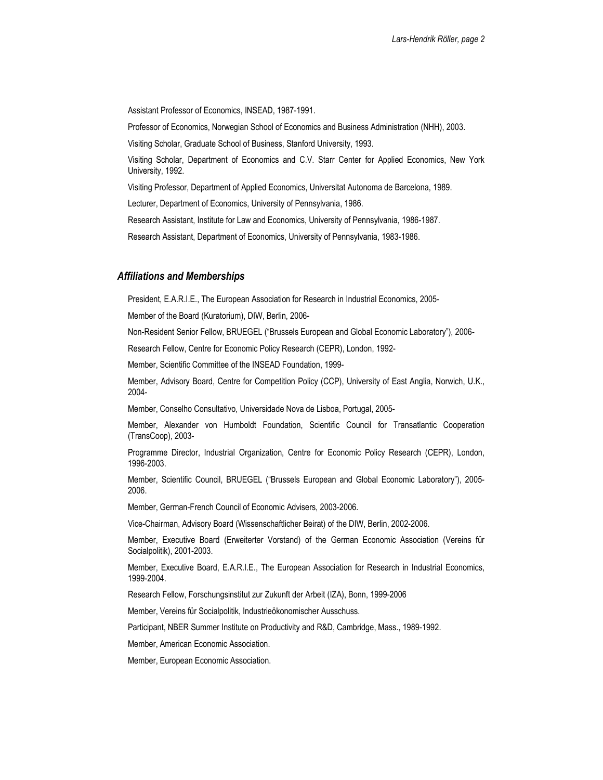Assistant Professor of Economics, INSEAD, 1987-1991.

Professor of Economics, Norwegian School of Economics and Business Administration (NHH), 2003.

Visiting Scholar, Graduate School of Business, Stanford University, 1993.

Visiting Scholar, Department of Economics and C.V. Starr Center for Applied Economics, New York University, 1992.

Visiting Professor, Department of Applied Economics, Universitat Autonoma de Barcelona, 1989.

Lecturer, Department of Economics, University of Pennsylvania, 1986.

Research Assistant, Institute for Law and Economics, University of Pennsylvania, 1986-1987.

Research Assistant, Department of Economics, University of Pennsylvania, 1983-1986.

#### Affiliations and Memberships

President, E.A.R.I.E., The European Association for Research in Industrial Economics, 2005-

Member of the Board (Kuratorium), DIW, Berlin, 2006-

Non-Resident Senior Fellow, BRUEGEL ("Brussels European and Global Economic Laboratory"), 2006-

Research Fellow, Centre for Economic Policy Research (CEPR), London, 1992-

Member, Scientific Committee of the INSEAD Foundation, 1999-

Member, Advisory Board, Centre for Competition Policy (CCP), University of East Anglia, Norwich, U.K., 2004-

Member, Conselho Consultativo, Universidade Nova de Lisboa, Portugal, 2005-

Member, Alexander von Humboldt Foundation, Scientific Council for Transatlantic Cooperation (TransCoop), 2003-

Programme Director, Industrial Organization, Centre for Economic Policy Research (CEPR), London, 1996-2003.

Member, Scientific Council, BRUEGEL ("Brussels European and Global Economic Laboratory"), 2005- 2006.

Member, German-French Council of Economic Advisers, 2003-2006.

Vice-Chairman, Advisory Board (Wissenschaftlicher Beirat) of the DIW, Berlin, 2002-2006.

Member, Executive Board (Erweiterter Vorstand) of the German Economic Association (Vereins für Socialpolitik), 2001-2003.

Member, Executive Board, E.A.R.I.E., The European Association for Research in Industrial Economics, 1999-2004.

Research Fellow, Forschungsinstitut zur Zukunft der Arbeit (IZA), Bonn, 1999-2006

Member, Vereins für Socialpolitik, Industrieökonomischer Ausschuss.

Participant, NBER Summer Institute on Productivity and R&D, Cambridge, Mass., 1989-1992.

Member, American Economic Association.

Member, European Economic Association.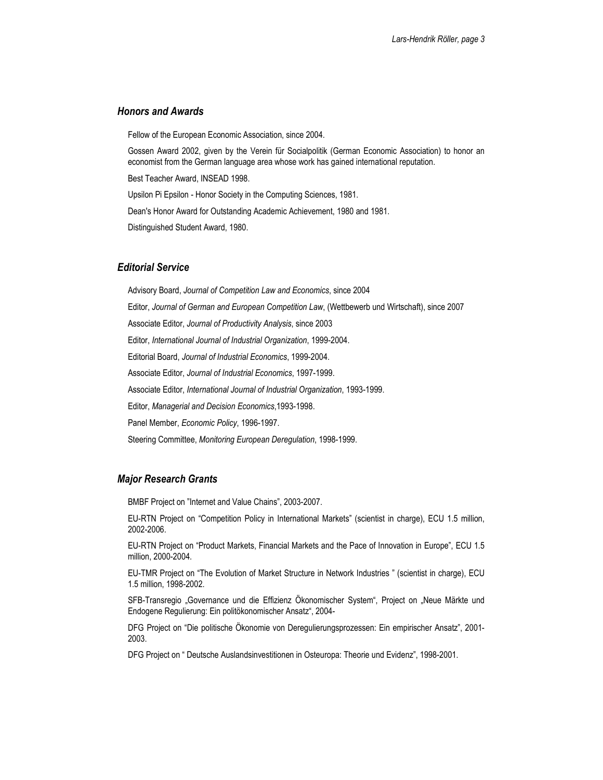## Honors and Awards

Fellow of the European Economic Association, since 2004.

Gossen Award 2002, given by the Verein für Socialpolitik (German Economic Association) to honor an economist from the German language area whose work has gained international reputation.

Best Teacher Award, INSEAD 1998.

Upsilon Pi Epsilon - Honor Society in the Computing Sciences, 1981.

Dean's Honor Award for Outstanding Academic Achievement, 1980 and 1981.

Distinguished Student Award, 1980.

#### Editorial Service

Advisory Board, Journal of Competition Law and Economics, since 2004 Editor, Journal of German and European Competition Law, (Wettbewerb und Wirtschaft), since 2007 Associate Editor, Journal of Productivity Analysis, since 2003 Editor, International Journal of Industrial Organization, 1999-2004. Editorial Board, Journal of Industrial Economics, 1999-2004. Associate Editor, Journal of Industrial Economics, 1997-1999. Associate Editor, International Journal of Industrial Organization, 1993-1999. Editor, Managerial and Decision Economics,1993-1998. Panel Member, Economic Policy, 1996-1997. Steering Committee, Monitoring European Deregulation, 1998-1999.

#### Major Research Grants

BMBF Project on "Internet and Value Chains", 2003-2007.

EU-RTN Project on "Competition Policy in International Markets" (scientist in charge), ECU 1.5 million, 2002-2006.

EU-RTN Project on "Product Markets, Financial Markets and the Pace of Innovation in Europe", ECU 1.5 million, 2000-2004.

EU-TMR Project on "The Evolution of Market Structure in Network Industries " (scientist in charge), ECU 1.5 million, 1998-2002.

SFB-Transregio "Governance und die Effizienz Ökonomischer System", Project on "Neue Märkte und Endogene Regulierung: Ein politökonomischer Ansatz", 2004-

DFG Project on "Die politische Ökonomie von Deregulierungsprozessen: Ein empirischer Ansatz", 2001- 2003.

DFG Project on " Deutsche Auslandsinvestitionen in Osteuropa: Theorie und Evidenz", 1998-2001.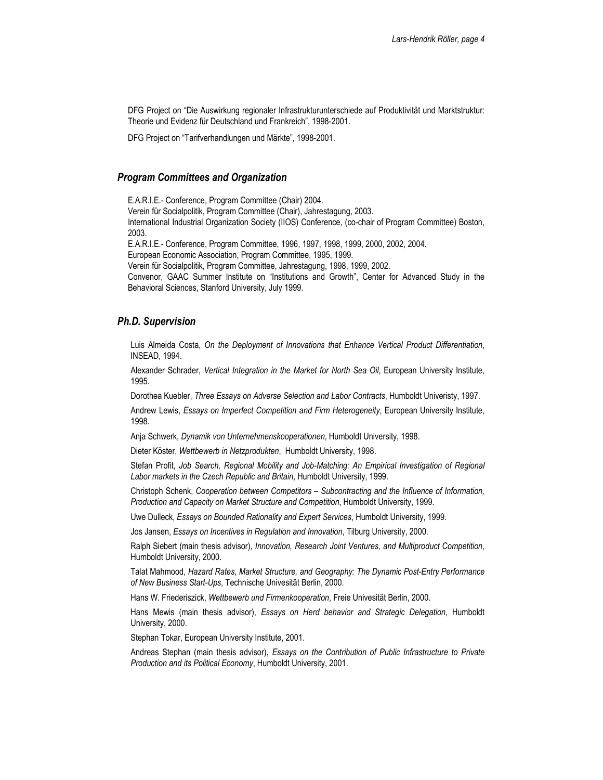DFG Project on "Die Auswirkung regionaler Infrastrukturunterschiede auf Produktivität und Marktstruktur: Theorie und Evidenz für Deutschland und Frankreich", 1998-2001.

DFG Project on "Tarifverhandlungen und Märkte", 1998-2001.

### Program Committees and Organization

E.A.R.I.E.- Conference, Program Committee (Chair) 2004. Verein für Socialpolitik, Program Committee (Chair), Jahrestagung, 2003. International Industrial Organization Society (IIOS) Conference, (co-chair of Program Committee) Boston, 2003. E.A.R.I.E.- Conference, Program Committee, 1996, 1997, 1998, 1999, 2000, 2002, 2004. European Economic Association, Program Committee, 1995, 1999.

Verein für Socialpolitik, Program Committee, Jahrestagung, 1998, 1999, 2002.

Convenor, GAAC Summer Institute on "Institutions and Growth", Center for Advanced Study in the Behavioral Sciences, Stanford University, July 1999.

### Ph.D. Supervision

Luis Almeida Costa, On the Deployment of Innovations that Enhance Vertical Product Differentiation, INSEAD, 1994.

Alexander Schrader, Vertical Integration in the Market for North Sea Oil, European University Institute, 1995.

Dorothea Kuebler, Three Essays on Adverse Selection and Labor Contracts, Humboldt Univeristy, 1997.

Andrew Lewis, Essays on Imperfect Competition and Firm Heterogeneity, European University Institute, 1998.

Anja Schwerk, Dynamik von Unternehmenskooperationen, Humboldt University, 1998.

Dieter Köster, Wettbewerb in Netzprodukten, Humboldt University, 1998.

Stefan Profit, Job Search, Regional Mobility and Job-Matching: An Empirical Investigation of Regional Labor markets in the Czech Republic and Britain, Humboldt University, 1999.

Christoph Schenk, Cooperation between Competitors – Subcontracting and the Influence of Information, Production and Capacity on Market Structure and Competition, Humboldt University, 1999.

Uwe Dulleck, Essays on Bounded Rationality and Expert Services, Humboldt University, 1999.

Jos Jansen, Essays on Incentives in Regulation and Innovation, Tilburg University, 2000.

Ralph Siebert (main thesis advisor), Innovation, Research Joint Ventures, and Multiproduct Competition, Humboldt University, 2000.

Talat Mahmood, Hazard Rates, Market Structure, and Geography: The Dynamic Post-Entry Performance of New Business Start-Ups, Technische Univesität Berlin, 2000.

Hans W. Friederiszick, Wettbewerb und Firmenkooperation, Freie Univesität Berlin, 2000.

Hans Mewis (main thesis advisor), Essays on Herd behavior and Strategic Delegation, Humboldt University, 2000.

Stephan Tokar, European University Institute, 2001.

Andreas Stephan (main thesis advisor), Essays on the Contribution of Public Infrastructure to Private Production and its Political Economy, Humboldt University, 2001.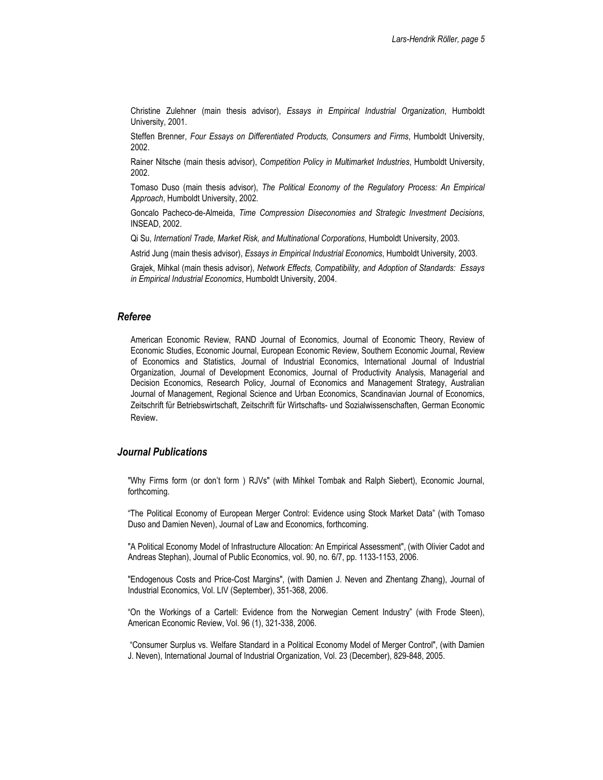Christine Zulehner (main thesis advisor), Essays in Empirical Industrial Organization, Humboldt University, 2001.

Steffen Brenner, Four Essays on Differentiated Products, Consumers and Firms, Humboldt University, 2002.

Rainer Nitsche (main thesis advisor), Competition Policy in Multimarket Industries, Humboldt University, 2002.

Tomaso Duso (main thesis advisor), The Political Economy of the Regulatory Process: An Empirical Approach, Humboldt University, 2002.

Goncalo Pacheco-de-Almeida, Time Compression Diseconomies and Strategic Investment Decisions, INSEAD, 2002.

Qi Su, Internationl Trade, Market Risk, and Multinational Corporations, Humboldt University, 2003.

Astrid Jung (main thesis advisor), Essays in Empirical Industrial Economics, Humboldt University, 2003.

Grajek, Mihkal (main thesis advisor), Network Effects, Compatibility, and Adoption of Standards: Essays in Empirical Industrial Economics, Humboldt University, 2004.

#### Referee

American Economic Review, RAND Journal of Economics, Journal of Economic Theory, Review of Economic Studies, Economic Journal, European Economic Review, Southern Economic Journal, Review of Economics and Statistics, Journal of Industrial Economics, International Journal of Industrial Organization, Journal of Development Economics, Journal of Productivity Analysis, Managerial and Decision Economics, Research Policy, Journal of Economics and Management Strategy, Australian Journal of Management, Regional Science and Urban Economics, Scandinavian Journal of Economics, Zeitschrift für Betriebswirtschaft, Zeitschrift für Wirtschafts- und Sozialwissenschaften, German Economic Review.

## Journal Publications

"Why Firms form (or don't form ) RJVs" (with Mihkel Tombak and Ralph Siebert), Economic Journal, forthcoming.

"The Political Economy of European Merger Control: Evidence using Stock Market Data" (with Tomaso Duso and Damien Neven), Journal of Law and Economics, forthcoming.

"A Political Economy Model of Infrastructure Allocation: An Empirical Assessment", (with Olivier Cadot and Andreas Stephan), Journal of Public Economics, vol. 90, no. 6/7, pp. 1133-1153, 2006.

"Endogenous Costs and Price-Cost Margins", (with Damien J. Neven and Zhentang Zhang), Journal of Industrial Economics, Vol. LIV (September), 351-368, 2006.

"On the Workings of a Cartell: Evidence from the Norwegian Cement Industry" (with Frode Steen), American Economic Review, Vol. 96 (1), 321-338, 2006.

 "Consumer Surplus vs. Welfare Standard in a Political Economy Model of Merger Control", (with Damien J. Neven), International Journal of Industrial Organization, Vol. 23 (December), 829-848, 2005.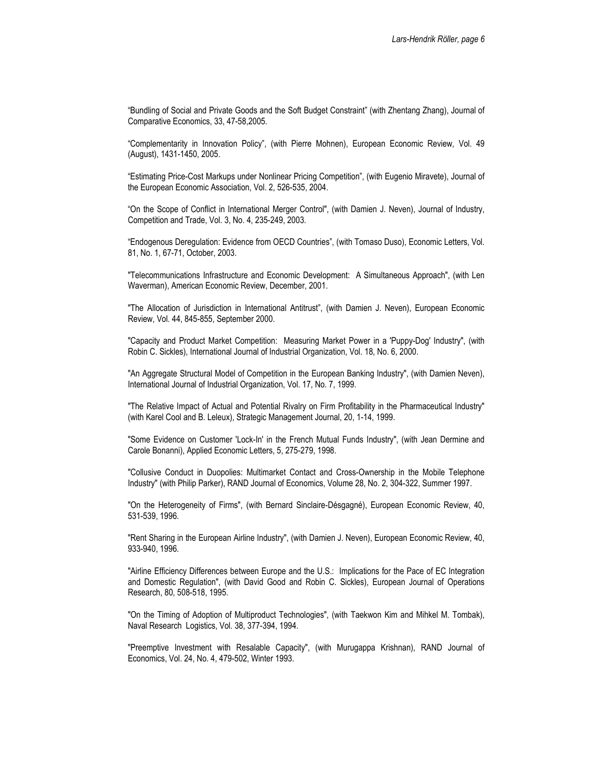"Bundling of Social and Private Goods and the Soft Budget Constraint" (with Zhentang Zhang), Journal of Comparative Economics, 33, 47-58,2005.

"Complementarity in Innovation Policy", (with Pierre Mohnen), European Economic Review, Vol. 49 (August), 1431-1450, 2005.

"Estimating Price-Cost Markups under Nonlinear Pricing Competition", (with Eugenio Miravete), Journal of the European Economic Association, Vol. 2, 526-535, 2004.

"On the Scope of Conflict in International Merger Control", (with Damien J. Neven), Journal of Industry, Competition and Trade, Vol. 3, No. 4, 235-249, 2003.

"Endogenous Deregulation: Evidence from OECD Countries", (with Tomaso Duso), Economic Letters, Vol. 81, No. 1, 67-71, October, 2003.

"Telecommunications Infrastructure and Economic Development: A Simultaneous Approach", (with Len Waverman), American Economic Review, December, 2001.

"The Allocation of Jurisdiction in International Antitrust", (with Damien J. Neven), European Economic Review, Vol. 44, 845-855, September 2000.

"Capacity and Product Market Competition: Measuring Market Power in a 'Puppy-Dog' Industry", (with Robin C. Sickles), International Journal of Industrial Organization, Vol. 18, No. 6, 2000.

"An Aggregate Structural Model of Competition in the European Banking Industry", (with Damien Neven), International Journal of Industrial Organization, Vol. 17, No. 7, 1999.

"The Relative Impact of Actual and Potential Rivalry on Firm Profitability in the Pharmaceutical Industry" (with Karel Cool and B. Leleux), Strategic Management Journal, 20, 1-14, 1999.

"Some Evidence on Customer 'Lock-In' in the French Mutual Funds Industry", (with Jean Dermine and Carole Bonanni), Applied Economic Letters, 5, 275-279, 1998.

"Collusive Conduct in Duopolies: Multimarket Contact and Cross-Ownership in the Mobile Telephone Industry" (with Philip Parker), RAND Journal of Economics, Volume 28, No. 2, 304-322, Summer 1997.

"On the Heterogeneity of Firms", (with Bernard Sinclaire-Désgagné), European Economic Review, 40, 531-539, 1996.

"Rent Sharing in the European Airline Industry", (with Damien J. Neven), European Economic Review, 40, 933-940, 1996.

"Airline Efficiency Differences between Europe and the U.S.: Implications for the Pace of EC Integration and Domestic Regulation", (with David Good and Robin C. Sickles), European Journal of Operations Research, 80, 508-518, 1995.

"On the Timing of Adoption of Multiproduct Technologies", (with Taekwon Kim and Mihkel M. Tombak), Naval Research Logistics, Vol. 38, 377-394, 1994.

"Preemptive Investment with Resalable Capacity", (with Murugappa Krishnan), RAND Journal of Economics, Vol. 24, No. 4, 479-502, Winter 1993.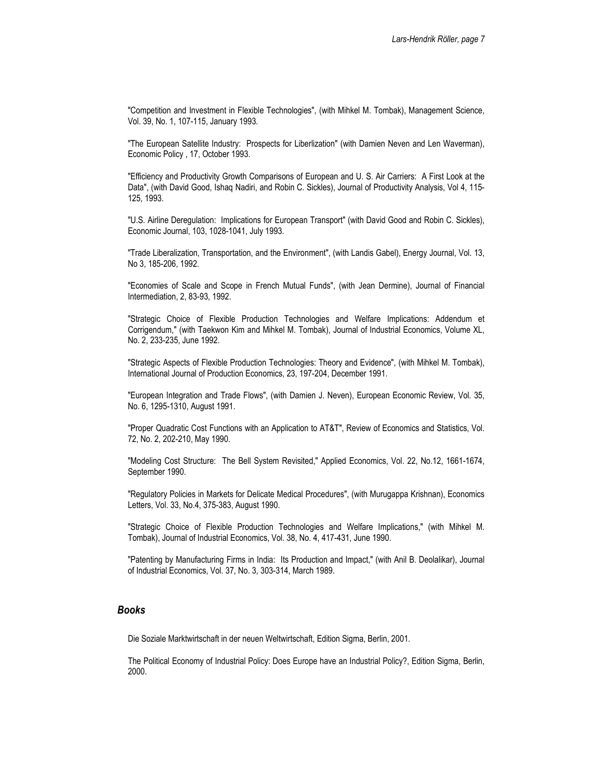"Competition and Investment in Flexible Technologies", (with Mihkel M. Tombak), Management Science, Vol. 39, No. 1, 107-115, January 1993.

"The European Satellite Industry: Prospects for Liberlization" (with Damien Neven and Len Waverman), Economic Policy , 17, October 1993.

"Efficiency and Productivity Growth Comparisons of European and U. S. Air Carriers: A First Look at the Data", (with David Good, Ishaq Nadiri, and Robin C. Sickles), Journal of Productivity Analysis, Vol 4, 115- 125, 1993.

"U.S. Airline Deregulation: Implications for European Transport" (with David Good and Robin C. Sickles), Economic Journal, 103, 1028-1041, July 1993.

"Trade Liberalization, Transportation, and the Environment", (with Landis Gabel), Energy Journal, Vol. 13, No 3, 185-206, 1992.

"Economies of Scale and Scope in French Mutual Funds", (with Jean Dermine), Journal of Financial Intermediation, 2, 83-93, 1992.

"Strategic Choice of Flexible Production Technologies and Welfare Implications: Addendum et Corrigendum," (with Taekwon Kim and Mihkel M. Tombak), Journal of Industrial Economics, Volume XL, No. 2, 233-235, June 1992.

"Strategic Aspects of Flexible Production Technologies: Theory and Evidence", (with Mihkel M. Tombak), International Journal of Production Economics, 23, 197-204, December 1991.

"European Integration and Trade Flows", (with Damien J. Neven), European Economic Review, Vol. 35, No. 6, 1295-1310, August 1991.

"Proper Quadratic Cost Functions with an Application to AT&T", Review of Economics and Statistics, Vol. 72, No. 2, 202-210, May 1990.

"Modeling Cost Structure: The Bell System Revisited," Applied Economics, Vol. 22, No.12, 1661-1674, September 1990.

"Regulatory Policies in Markets for Delicate Medical Procedures", (with Murugappa Krishnan), Economics Letters, Vol. 33, No.4, 375-383, August 1990.

"Strategic Choice of Flexible Production Technologies and Welfare Implications," (with Mihkel M. Tombak), Journal of Industrial Economics, Vol. 38, No. 4, 417-431, June 1990.

"Patenting by Manufacturing Firms in India: Its Production and Impact," (with Anil B. Deolalikar), Journal of Industrial Economics, Vol. 37, No. 3, 303-314, March 1989.

#### Books

Die Soziale Marktwirtschaft in der neuen Weltwirtschaft, Edition Sigma, Berlin, 2001.

The Political Economy of Industrial Policy: Does Europe have an Industrial Policy?, Edition Sigma, Berlin, 2000.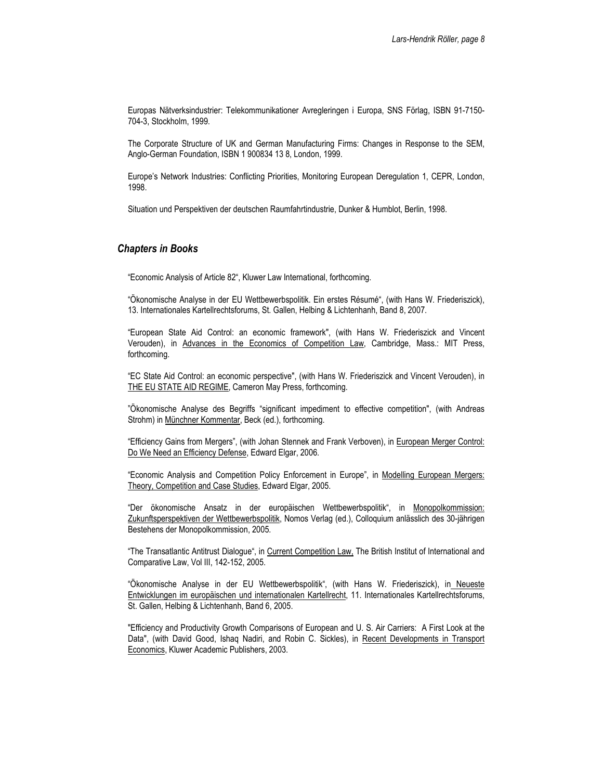Europas Nätverksindustrier: Telekommunikationer Avregleringen i Europa, SNS Förlag, ISBN 91-7150- 704-3, Stockholm, 1999.

The Corporate Structure of UK and German Manufacturing Firms: Changes in Response to the SEM, Anglo-German Foundation, ISBN 1 900834 13 8, London, 1999.

Europe's Network Industries: Conflicting Priorities, Monitoring European Deregulation 1, CEPR, London, 1998.

Situation und Perspektiven der deutschen Raumfahrtindustrie, Dunker & Humblot, Berlin, 1998.

## Chapters in Books

"Economic Analysis of Article 82", Kluwer Law International, forthcoming.

"Ökonomische Analyse in der EU Wettbewerbspolitik. Ein erstes Résumé", (with Hans W. Friederiszick), 13. Internationales Kartellrechtsforums, St. Gallen, Helbing & Lichtenhanh, Band 8, 2007.

"European State Aid Control: an economic framework", (with Hans W. Friederiszick and Vincent Verouden), in Advances in the Economics of Competition Law, Cambridge, Mass.: MIT Press, forthcoming.

"EC State Aid Control: an economic perspective", (with Hans W. Friederiszick and Vincent Verouden), in THE EU STATE AID REGIME, Cameron May Press, forthcoming.

"Ökonomische Analyse des Begriffs "significant impediment to effective competition", (with Andreas Strohm) in Münchner Kommentar, Beck (ed.), forthcoming.

"Efficiency Gains from Mergers", (with Johan Stennek and Frank Verboven), in European Merger Control: Do We Need an Efficiency Defense, Edward Elgar, 2006.

"Economic Analysis and Competition Policy Enforcement in Europe", in Modelling European Mergers: Theory, Competition and Case Studies, Edward Elgar, 2005.

"Der ökonomische Ansatz in der europäischen Wettbewerbspolitik", in Monopolkommission: Zukunftsperspektiven der Wettbewerbspolitik, Nomos Verlag (ed.), Colloquium anlässlich des 30-jährigen Bestehens der Monopolkommission, 2005.

"The Transatlantic Antitrust Dialogue", in Current Competition Law, The British Institut of International and Comparative Law, Vol III, 142-152, 2005.

"Ökonomische Analyse in der EU Wettbewerbspolitik", (with Hans W. Friederiszick), in Neueste Entwicklungen im europäischen und internationalen Kartellrecht, 11. Internationales Kartellrechtsforums, St. Gallen, Helbing & Lichtenhanh, Band 6, 2005.

"Efficiency and Productivity Growth Comparisons of European and U. S. Air Carriers: A First Look at the Data", (with David Good, Ishaq Nadiri, and Robin C. Sickles), in Recent Developments in Transport Economics, Kluwer Academic Publishers, 2003.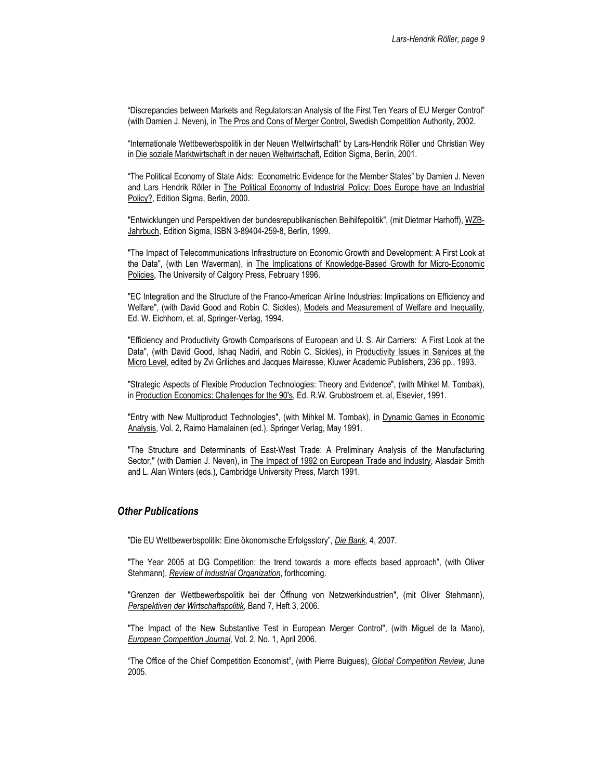"Discrepancies between Markets and Regulators:an Analysis of the First Ten Years of EU Merger Control" (with Damien J. Neven), in The Pros and Cons of Merger Control, Swedish Competition Authority, 2002.

"Internationale Wettbewerbspolitik in der Neuen Weltwirtschaft" by Lars-Hendrik Röller und Christian Wey in Die soziale Marktwirtschaft in der neuen Weltwirtschaft, Edition Sigma, Berlin, 2001.

"The Political Economy of State Aids: Econometric Evidence for the Member States" by Damien J. Neven and Lars Hendrik Röller in The Political Economy of Industrial Policy: Does Europe have an Industrial Policy?, Edition Sigma, Berlin, 2000.

"Entwicklungen und Perspektiven der bundesrepublikanischen Beihilfepolitik", (mit Dietmar Harhoff), WZB-Jahrbuch, Edition Sigma, ISBN 3-89404-259-8, Berlin, 1999.

"The Impact of Telecommunications Infrastructure on Economic Growth and Development: A First Look at the Data", (with Len Waverman), in The Implications of Knowledge-Based Growth for Micro-Economic Policies, The University of Calgory Press, February 1996.

"EC Integration and the Structure of the Franco-American Airline Industries: Implications on Efficiency and Welfare", (with David Good and Robin C. Sickles), Models and Measurement of Welfare and Inequality, Ed. W. Eichhorn, et. al, Springer-Verlag, 1994.

"Efficiency and Productivity Growth Comparisons of European and U. S. Air Carriers: A First Look at the Data", (with David Good, Ishaq Nadiri, and Robin C. Sickles), in Productivity Issues in Services at the Micro Level, edited by Zvi Griliches and Jacques Mairesse, Kluwer Academic Publishers, 236 pp., 1993.

"Strategic Aspects of Flexible Production Technologies: Theory and Evidence", (with Mihkel M. Tombak), in Production Economics: Challenges for the 90's, Ed. R.W. Grubbstroem et. al, Elsevier, 1991.

"Entry with New Multiproduct Technologies", (with Mihkel M. Tombak), in Dynamic Games in Economic Analysis, Vol. 2, Raimo Hamalainen (ed.), Springer Verlag, May 1991.

"The Structure and Determinants of East-West Trade: A Preliminary Analysis of the Manufacturing Sector," (with Damien J. Neven), in The Impact of 1992 on European Trade and Industry, Alasdair Smith and L. Alan Winters (eds.), Cambridge University Press, March 1991.

#### Other Publications

"Die EU Wettbewerbspolitik: Eine ökonomische Erfolgsstory", Die Bank, 4, 2007.

"The Year 2005 at DG Competition: the trend towards a more effects based approach", (with Oliver Stehmann), Review of Industrial Organization, forthcoming.

"Grenzen der Wettbewerbspolitik bei der Öffnung von Netzwerkindustrien", (mit Oliver Stehmann), Perspektiven der Wirtschaftspolitik, Band 7, Heft 3, 2006.

"The Impact of the New Substantive Test in European Merger Control", (with Miguel de la Mano), European Competition Journal, Vol. 2, No. 1, April 2006.

"The Office of the Chief Competition Economist", (with Pierre Buigues), Global Competition Review, June 2005.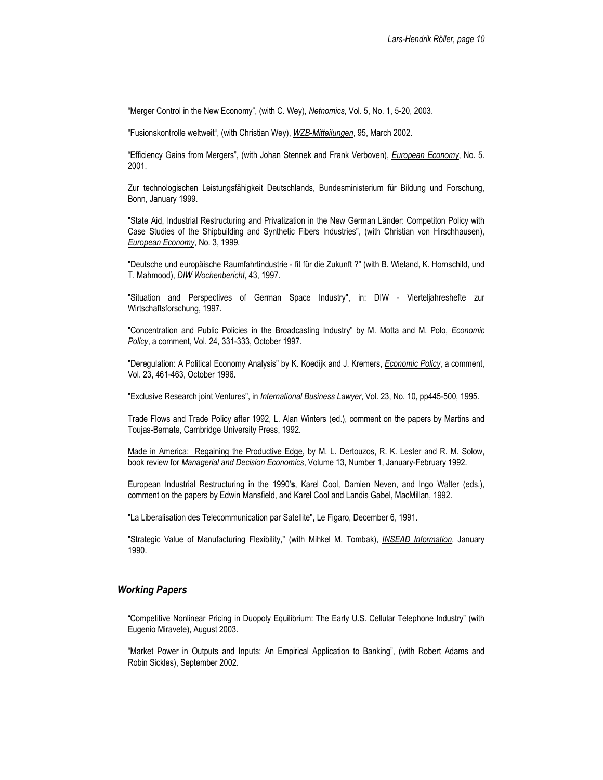"Merger Control in the New Economy", (with C. Wey), Netnomics, Vol. 5, No. 1, 5-20, 2003.

"Fusionskontrolle weltweit", (with Christian Wey), WZB-Mitteilungen, 95, March 2002.

"Efficiency Gains from Mergers", (with Johan Stennek and Frank Verboven), *European Economy*, No. 5. 2001.

Zur technologischen Leistungsfähigkeit Deutschlands, Bundesministerium für Bildung und Forschung, Bonn, January 1999.

"State Aid, Industrial Restructuring and Privatization in the New German Länder: Competiton Policy with Case Studies of the Shipbuilding and Synthetic Fibers Industries", (with Christian von Hirschhausen), European Economy, No. 3, 1999.

"Deutsche und europäische Raumfahrtindustrie - fit für die Zukunft ?" (with B. Wieland, K. Hornschild, und T. Mahmood), DIW Wochenbericht, 43, 1997.

"Situation and Perspectives of German Space Industry", in: DIW - Vierteljahreshefte zur Wirtschaftsforschung, 1997.

"Concentration and Public Policies in the Broadcasting Industry" by M. Motta and M. Polo, *Economic* Policy, a comment, Vol. 24, 331-333, October 1997.

"Deregulation: A Political Economy Analysis" by K. Koedijk and J. Kremers, Economic Policy, a comment, Vol. 23, 461-463, October 1996.

"Exclusive Research joint Ventures", in International Business Lawyer, Vol. 23, No. 10, pp445-500, 1995.

Trade Flows and Trade Policy after 1992, L. Alan Winters (ed.), comment on the papers by Martins and Toujas-Bernate, Cambridge University Press, 1992.

Made in America: Regaining the Productive Edge, by M. L. Dertouzos, R. K. Lester and R. M. Solow, book review for Managerial and Decision Economics, Volume 13, Number 1, January-February 1992.

European Industrial Restructuring in the 1990's, Karel Cool, Damien Neven, and Ingo Walter (eds.), comment on the papers by Edwin Mansfield, and Karel Cool and Landis Gabel, MacMillan, 1992.

"La Liberalisation des Telecommunication par Satellite", Le Figaro, December 6, 1991.

"Strategic Value of Manufacturing Flexibility," (with Mihkel M. Tombak), <u>INSEAD Information</u>, January 1990.

#### Working Papers

"Competitive Nonlinear Pricing in Duopoly Equilibrium: The Early U.S. Cellular Telephone Industry" (with Eugenio Miravete), August 2003.

"Market Power in Outputs and Inputs: An Empirical Application to Banking", (with Robert Adams and Robin Sickles), September 2002.